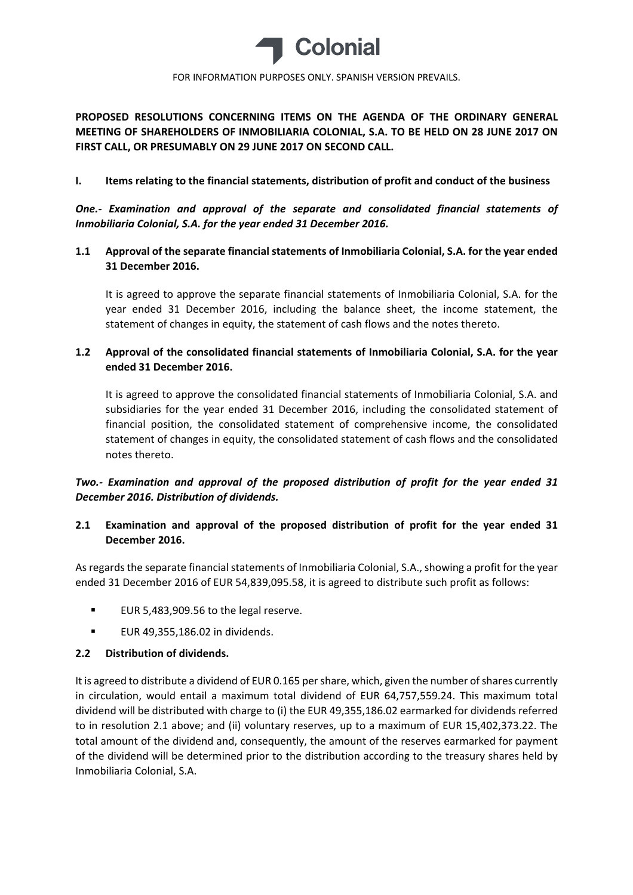

**PROPOSED RESOLUTIONS CONCERNING ITEMS ON THE AGENDA OF THE ORDINARY GENERAL MEETING OF SHAREHOLDERS OF INMOBILIARIA COLONIAL, S.A. TO BE HELD ON 28 JUNE 2017 ON FIRST CALL, OR PRESUMABLY ON 29 JUNE 2017 ON SECOND CALL.**

## **I. Items relating to the financial statements, distribution of profit and conduct of the business**

*One.‐ Examination and approval of the separate and consolidated financial statements of Inmobiliaria Colonial, S.A. for the year ended 31 December 2016.*

# **1.1 Approval of the separate financial statements of Inmobiliaria Colonial, S.A. for the year ended 31 December 2016.**

It is agreed to approve the separate financial statements of Inmobiliaria Colonial, S.A. for the year ended 31 December 2016, including the balance sheet, the income statement, the statement of changes in equity, the statement of cash flows and the notes thereto.

# **1.2 Approval of the consolidated financial statements of Inmobiliaria Colonial, S.A. for the year ended 31 December 2016.**

It is agreed to approve the consolidated financial statements of Inmobiliaria Colonial, S.A. and subsidiaries for the year ended 31 December 2016, including the consolidated statement of financial position, the consolidated statement of comprehensive income, the consolidated statement of changes in equity, the consolidated statement of cash flows and the consolidated notes thereto.

# *Two.‐ Examination and approval of the proposed distribution of profit for the year ended 31 December 2016. Distribution of dividends.*

# **2.1 Examination and approval of the proposed distribution of profit for the year ended 31 December 2016.**

As regards the separate financial statements of Inmobiliaria Colonial, S.A., showing a profit for the year ended 31 December 2016 of EUR 54,839,095.58, it is agreed to distribute such profit as follows:

- EUR 5,483,909.56 to the legal reserve.
- **EUR 49,355,186.02 in dividends.**

## **2.2 Distribution of dividends.**

It is agreed to distribute a dividend of EUR 0.165 pershare, which, given the number ofshares currently in circulation, would entail a maximum total dividend of EUR 64,757,559.24. This maximum total dividend will be distributed with charge to (i) the EUR 49,355,186.02 earmarked for dividends referred to in resolution 2.1 above; and (ii) voluntary reserves, up to a maximum of EUR 15,402,373.22. The total amount of the dividend and, consequently, the amount of the reserves earmarked for payment of the dividend will be determined prior to the distribution according to the treasury shares held by Inmobiliaria Colonial, S.A.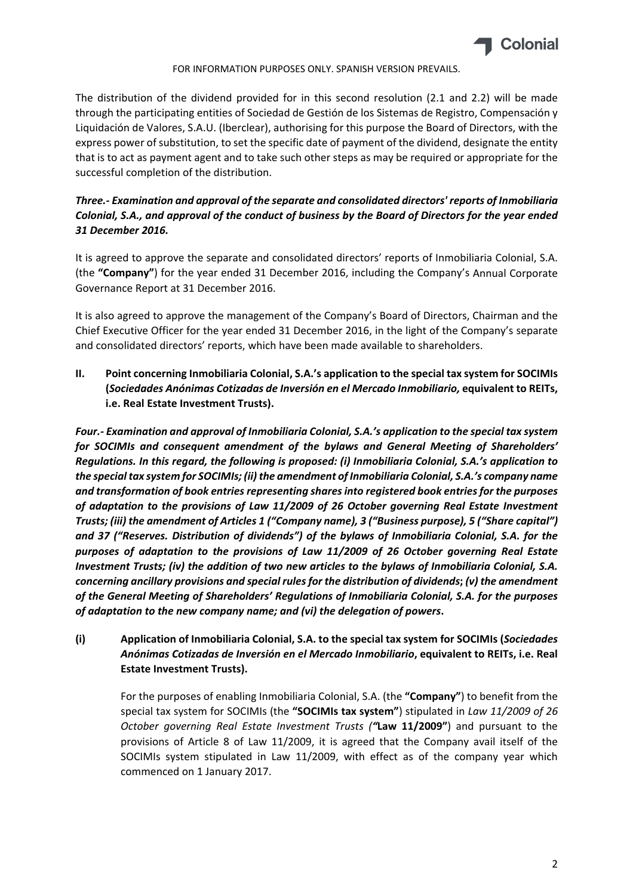

The distribution of the dividend provided for in this second resolution (2.1 and 2.2) will be made through the participating entities of Sociedad de Gestión de los Sistemas de Registro, Compensación y Liquidación de Valores, S.A.U. (Iberclear), authorising for this purpose the Board of Directors, with the express power of substitution, to set the specific date of payment of the dividend, designate the entity that is to act as payment agent and to take such other steps as may be required or appropriate for the successful completion of the distribution.

# *Three.‐ Examination and approval of the separate and consolidated directors' reports of Inmobiliaria* Colonial, S.A., and approval of the conduct of business by the Board of Directors for the year ended *31 December 2016.*

It is agreed to approve the separate and consolidated directors' reports of Inmobiliaria Colonial, S.A. (the **"Company"**) for the year ended 31 December 2016, including the Company's Annual Corporate Governance Report at 31 December 2016.

It is also agreed to approve the management of the Company's Board of Directors, Chairman and the Chief Executive Officer for the year ended 31 December 2016, in the light of the Company's separate and consolidated directors' reports, which have been made available to shareholders.

**II. Point concerning Inmobiliaria Colonial, S.A.'s application to the special tax system for SOCIMIs (***Sociedades Anónimas Cotizadas de Inversión en el Mercado Inmobiliario,* **equivalent to REITs, i.e. Real Estate Investment Trusts).**

*Four.‐ Examination and approval of Inmobiliaria Colonial, S.A.'s application to the special tax system for SOCIMIs and consequent amendment of the bylaws and General Meeting of Shareholders' Regulations. In this regard, the following is proposed: (i) Inmobiliaria Colonial, S.A.'s application to the special tax system for SOCIMIs; (ii) the amendment of Inmobiliaria Colonial, S.A.'s company name and transformation of book entries representing sharesinto registered book entriesfor the purposes of adaptation to the provisions of Law 11/2009 of 26 October governing Real Estate Investment Trusts; (iii) the amendment of Articles 1 ("Company name), 3 ("Business purpose), 5 ("Share capital") and 37 ("Reserves. Distribution of dividends") of the bylaws of Inmobiliaria Colonial, S.A. for the purposes of adaptation to the provisions of Law 11/2009 of 26 October governing Real Estate Investment Trusts; (iv) the addition of two new articles to the bylaws of Inmobiliaria Colonial, S.A. concerning ancillary provisions and special rulesfor the distribution of dividends***;** *(v) the amendment of the General Meeting of Shareholders' Regulations of Inmobiliaria Colonial, S.A. for the purposes of adaptation to the new company name; and (vi) the delegation of powers***.**

**(i) Application of Inmobiliaria Colonial, S.A. to the special tax system for SOCIMIs (***Sociedades Anónimas Cotizadas de Inversión en el Mercado Inmobiliario***, equivalent to REITs, i.e. Real Estate Investment Trusts).**

For the purposes of enabling Inmobiliaria Colonial, S.A. (the **"Company"**) to benefit from the special tax system for SOCIMIs (the **"SOCIMIs tax system"**) stipulated in *Law 11/2009 of 26 October governing Real Estate Investment Trusts ("***Law 11/2009"**) and pursuant to the provisions of Article 8 of Law 11/2009, it is agreed that the Company avail itself of the SOCIMIs system stipulated in Law 11/2009, with effect as of the company year which commenced on 1 January 2017.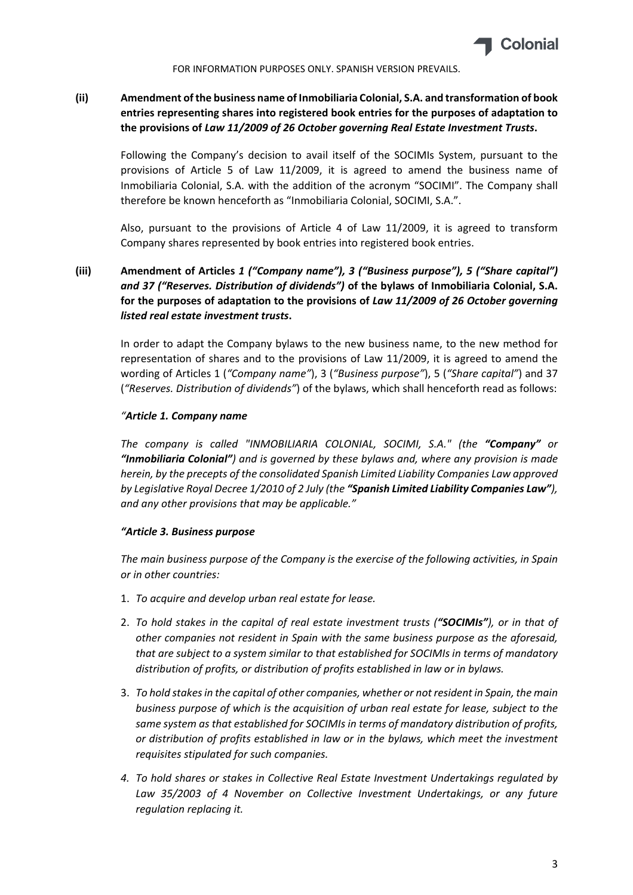

# **(ii) Amendment of the business name of Inmobiliaria Colonial, S.A. and transformation of book entries representing shares into registered book entries for the purposes of adaptation to the provisions of** *Law 11/2009 of 26 October governing Real Estate Investment Trusts***.**

Following the Company's decision to avail itself of the SOCIMIs System, pursuant to the provisions of Article 5 of Law 11/2009, it is agreed to amend the business name of Inmobiliaria Colonial, S.A. with the addition of the acronym "SOCIMI". The Company shall therefore be known henceforth as "Inmobiliaria Colonial, SOCIMI, S.A.".

Also, pursuant to the provisions of Article 4 of Law 11/2009, it is agreed to transform Company shares represented by book entries into registered book entries.

# **(iii) Amendment of Articles** *1 ("Company name"), 3 ("Business purpose"), 5 ("Share capital") and 37 ("Reserves. Distribution of dividends")* **of the bylaws of Inmobiliaria Colonial, S.A. for the purposes of adaptation to the provisions of** *Law 11/2009 of 26 October governing listed real estate investment trusts***.**

In order to adapt the Company bylaws to the new business name, to the new method for representation of shares and to the provisions of Law 11/2009, it is agreed to amend the wording of Articles 1 (*"Company name"*), 3 (*"Business purpose"*), 5 (*"Share capital"*) and 37 (*"Reserves. Distribution of dividends"*) of the bylaws, which shall henceforth read as follows:

### *"Article 1. Company name*

*The company is called "INMOBILIARIA COLONIAL, SOCIMI, S.A." (the "Company" or "Inmobiliaria Colonial") and is governed by these bylaws and, where any provision is made herein, by the precepts of the consolidated Spanish Limited Liability Companies Law approved by Legislative Royal Decree 1/2010 of 2 July (the "Spanish Limited Liability Companies Law"), and any other provisions that may be applicable."*

### *"Article 3. Business purpose*

*The main business purpose of the Company is the exercise of the following activities, in Spain or in other countries:*

- 1. *To acquire and develop urban real estate for lease.*
- 2. *To hold stakes in the capital of real estate investment trusts ("SOCIMIs"), or in that of other companies not resident in Spain with the same business purpose as the aforesaid, that are subject to a system similar to that established for SOCIMIs in terms of mandatory distribution of profits, or distribution of profits established in law or in bylaws.*
- 3. *To hold stakesin the capital of other companies, whether or not resident in Spain, the main business purpose of which is the acquisition of urban real estate for lease, subject to the same system as that established for SOCIMIs in terms of mandatory distribution of profits, or distribution of profits established in law or in the bylaws, which meet the investment requisites stipulated for such companies.*
- *4. To hold shares or stakes in Collective Real Estate Investment Undertakings regulated by Law 35/2003 of 4 November on Collective Investment Undertakings, or any future regulation replacing it.*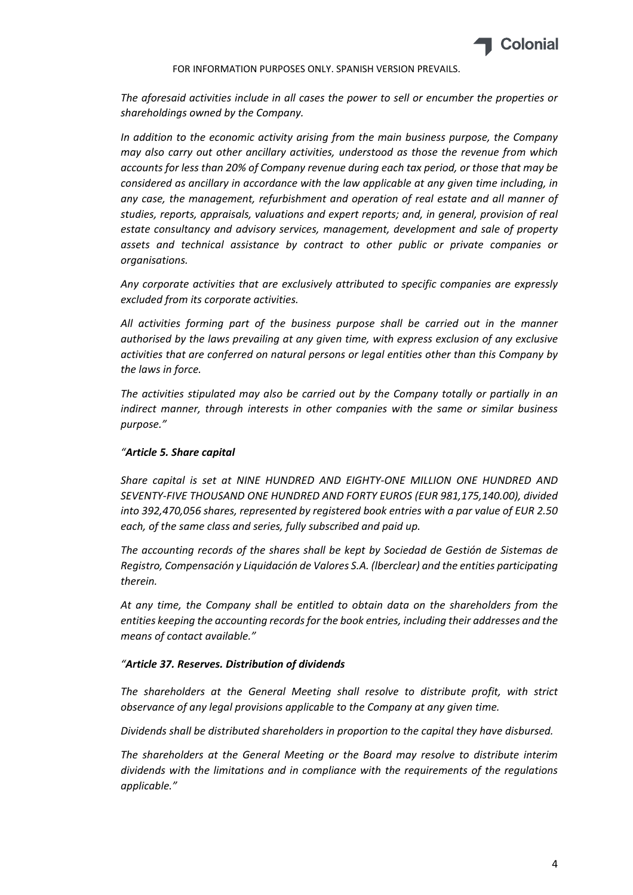

*The aforesaid activities include in all cases the power to sell or encumber the properties or shareholdings owned by the Company.*

*In addition to the economic activity arising from the main business purpose, the Company may also carry out other ancillary activities, understood as those the revenue from which accounts for less than 20% of Company revenue during each tax period, or those that may be considered as ancillary in accordance with the law applicable at any given time including, in any case, the management, refurbishment and operation of real estate and all manner of studies, reports, appraisals, valuations and expert reports; and, in general, provision of real estate consultancy and advisory services, management, development and sale of property assets and technical assistance by contract to other public or private companies or organisations.*

*Any corporate activities that are exclusively attributed to specific companies are expressly excluded from its corporate activities.*

*All activities forming part of the business purpose shall be carried out in the manner authorised by the laws prevailing at any given time, with express exclusion of any exclusive activities that are conferred on natural persons or legal entities other than this Company by the laws in force.*

*The activities stipulated may also be carried out by the Company totally or partially in an indirect manner, through interests in other companies with the same or similar business purpose."*

### *"Article 5. Share capital*

*Share capital is set at NINE HUNDRED AND EIGHTY‐ONE MILLION ONE HUNDRED AND SEVENTY‐FIVE THOUSAND ONE HUNDRED AND FORTY EUROS (EUR 981,175,140.00), divided into 392,470,056 shares, represented by registered book entries with a par value of EUR 2.50 each, of the same class and series, fully subscribed and paid up.*

*The accounting records of the shares shall be kept by Sociedad de Gestión de Sistemas de Registro, Compensación y Liquidación de Valores S.A. (lberclear) and the entities participating therein.*

*At any time, the Company shall be entitled to obtain data on the shareholders from the entities keeping the accounting recordsfor the book entries, including their addresses and the means of contact available."*

### *"Article 37. Reserves. Distribution of dividends*

*The shareholders at the General Meeting shall resolve to distribute profit, with strict observance of any legal provisions applicable to the Company at any given time.*

*Dividends shall be distributed shareholders in proportion to the capital they have disbursed.*

*The shareholders at the General Meeting or the Board may resolve to distribute interim dividends with the limitations and in compliance with the requirements of the regulations applicable."*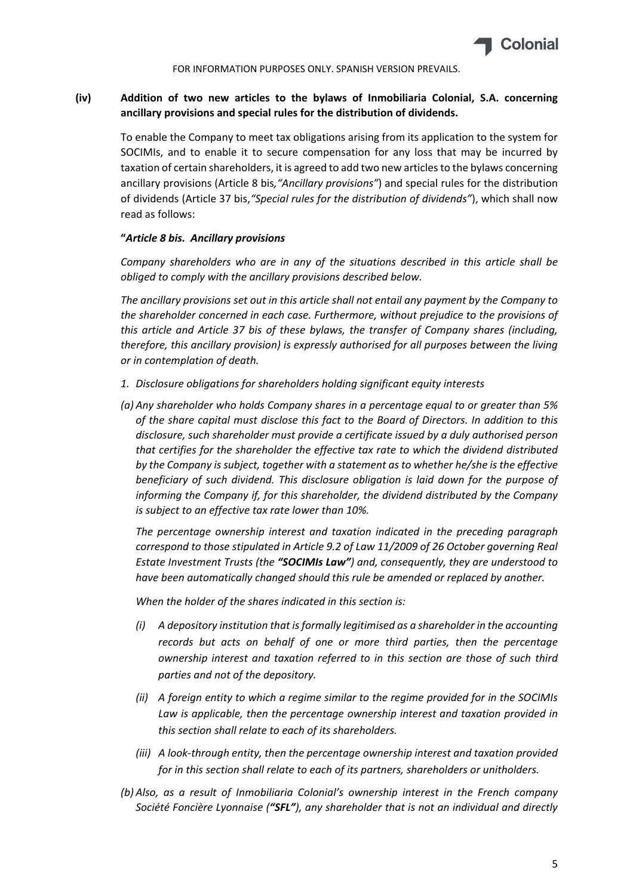

# **(iv) Addition of two new articles to the bylaws of Inmobiliaria Colonial, S.A. concerning ancillary provisions and special rules for the distribution of dividends.**

To enable the Company to meet tax obligations arising from its application to the system for SOCIMIs, and to enable it to secure compensation for any loss that may be incurred by taxation of certain shareholders, it is agreed to add two new articles to the bylaws concerning ancillary provisions (Article 8 bis*,"Ancillary provisions"*) and special rules for the distribution of dividends (Article 37 bis,*"Special rules for the distribution of dividends"*), which shall now read as follows:

#### **"***Article 8 bis. Ancillary provisions*

*Company shareholders who are in any of the situations described in this article shall be obliged to comply with the ancillary provisions described below.*

*The ancillary provisions set out in this article shall not entail any payment by the Company to the shareholder concerned in each case. Furthermore, without prejudice to the provisions of this article and Article 37 bis of these bylaws, the transfer of Company shares (including, therefore, this ancillary provision) is expressly authorised for all purposes between the living or in contemplation of death.*

- *1. Disclosure obligations for shareholders holding significant equity interests*
- *(a) Any shareholder who holds Company shares in a percentage equal to or greater than 5% of the share capital must disclose this fact to the Board of Directors. In addition to this disclosure, such shareholder must provide a certificate issued by a duly authorised person that certifies for the shareholder the effective tax rate to which the dividend distributed by the Company is subject, together with a statement as to whether he/she is the effective beneficiary of such dividend. This disclosure obligation is laid down for the purpose of informing the Company if, for this shareholder, the dividend distributed by the Company is subject to an effective tax rate lower than 10%.*

*The percentage ownership interest and taxation indicated in the preceding paragraph correspond to those stipulated in Article 9.2 of Law 11/2009 of 26 October governing Real Estate Investment Trusts (the "SOCIMIs Law") and, consequently, they are understood to have been automatically changed should this rule be amended or replaced by another.*

*When the holder of the shares indicated in this section is:*

- *(i) A depository institution that isformally legitimised as a shareholder in the accounting records but acts on behalf of one or more third parties, then the percentage ownership interest and taxation referred to in this section are those of such third parties and not of the depository.*
- *(ii) A foreign entity to which a regime similar to the regime provided for in the SOCIMIs Law is applicable, then the percentage ownership interest and taxation provided in this section shall relate to each of its shareholders.*
- *(iii) A look‐through entity, then the percentage ownership interest and taxation provided for in this section shall relate to each of its partners, shareholders or unitholders.*
- *(b) Also, as a result of Inmobiliaria Colonial's ownership interest in the French company Société Foncière Lyonnaise ("SFL"), any shareholder that is not an individual and directly*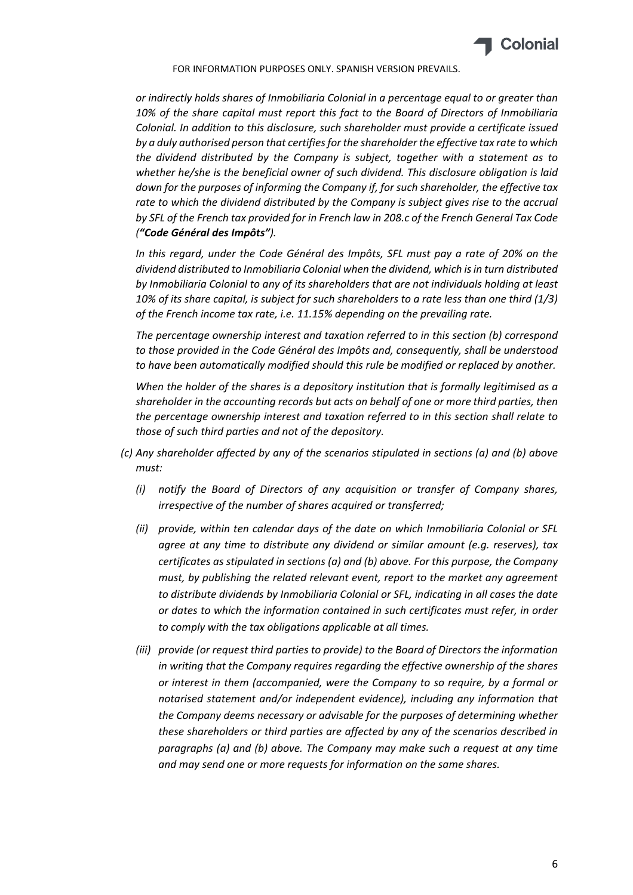

*or indirectly holds shares of Inmobiliaria Colonial in a percentage equal to or greater than 10% of the share capital must report this fact to the Board of Directors of Inmobiliaria Colonial. In addition to this disclosure, such shareholder must provide a certificate issued by a duly authorised person that certifiesforthe shareholder the effective tax rate to which the dividend distributed by the Company is subject, together with a statement as to whether he/she is the beneficial owner of such dividend. This disclosure obligation is laid down for the purposes of informing the Company if, for such shareholder, the effective tax rate to which the dividend distributed by the Company is subject gives rise to the accrual by SFL of the French tax provided for in French law in 208.c of the French General Tax Code ("Code Général des Impôts").*

*In this regard, under the Code Général des Impôts, SFL must pay a rate of 20% on the dividend distributed to Inmobiliaria Colonial when the dividend, which isin turn distributed by Inmobiliaria Colonial to any of its shareholders that are not individuals holding at least 10% of its share capital, is subject for such shareholders to a rate less than one third (1/3) of the French income tax rate, i.e. 11.15% depending on the prevailing rate.*

*The percentage ownership interest and taxation referred to in this section (b) correspond to those provided in the Code Général des Impôts and, consequently, shall be understood to have been automatically modified should this rule be modified or replaced by another.*

*When the holder of the shares is a depository institution that is formally legitimised as a shareholder in the accounting records but acts on behalf of one or more third parties, then the percentage ownership interest and taxation referred to in this section shall relate to those of such third parties and not of the depository.*

- *(c) Any shareholder affected by any of the scenarios stipulated in sections (a) and (b) above must:*
	- *(i) notify the Board of Directors of any acquisition or transfer of Company shares, irrespective of the number of shares acquired or transferred;*
	- *(ii) provide, within ten calendar days of the date on which Inmobiliaria Colonial or SFL agree at any time to distribute any dividend or similar amount (e.g. reserves), tax certificates as stipulated in sections (a) and (b) above. For this purpose, the Company must, by publishing the related relevant event, report to the market any agreement to distribute dividends by Inmobiliaria Colonial or SFL, indicating in all cases the date or dates to which the information contained in such certificates must refer, in order to comply with the tax obligations applicable at all times.*
	- *(iii) provide (or request third parties to provide) to the Board of Directors the information in writing that the Company requires regarding the effective ownership of the shares or interest in them (accompanied, were the Company to so require, by a formal or notarised statement and/or independent evidence), including any information that the Company deems necessary or advisable for the purposes of determining whether these shareholders or third parties are affected by any of the scenarios described in paragraphs (a) and (b) above. The Company may make such a request at any time and may send one or more requests for information on the same shares.*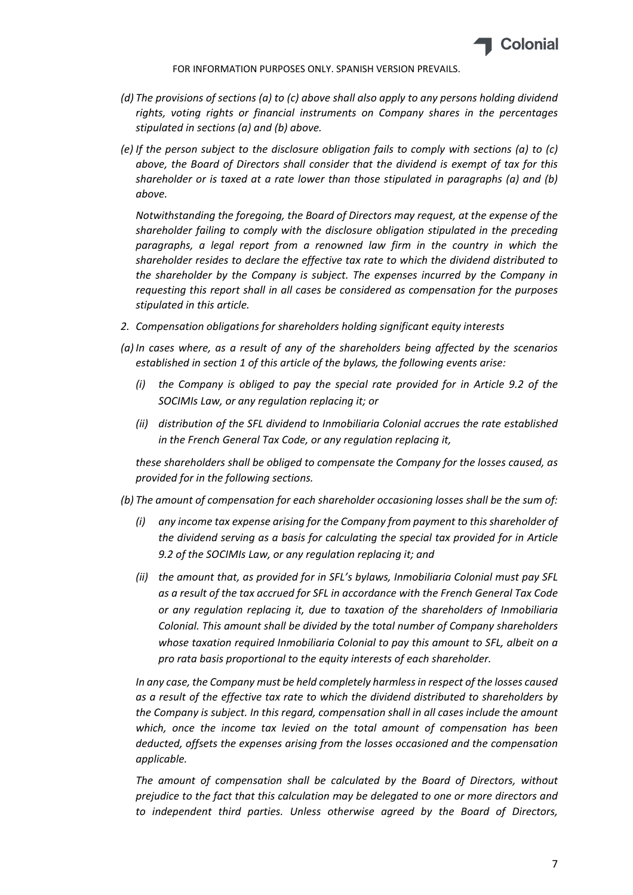

- *(d) The provisions of sections (a) to (c) above shall also apply to any persons holding dividend rights, voting rights or financial instruments on Company shares in the percentages stipulated in sections (a) and (b) above.*
- *(e) If the person subject to the disclosure obligation fails to comply with sections (a) to (c) above, the Board of Directors shall consider that the dividend is exempt of tax for this shareholder or is taxed at a rate lower than those stipulated in paragraphs (a) and (b) above.*

*Notwithstanding the foregoing, the Board of Directors may request, at the expense of the shareholder failing to comply with the disclosure obligation stipulated in the preceding paragraphs, a legal report from a renowned law firm in the country in which the shareholder resides to declare the effective tax rate to which the dividend distributed to the shareholder by the Company is subject. The expenses incurred by the Company in requesting this report shall in all cases be considered as compensation for the purposes stipulated in this article.*

- *2. Compensation obligations for shareholders holding significant equity interests*
- *(a) In cases where, as a result of any of the shareholders being affected by the scenarios established in section 1 of this article of the bylaws, the following events arise:*
	- *(i) the Company is obliged to pay the special rate provided for in Article 9.2 of the SOCIMIs Law, or any regulation replacing it; or*
	- *(ii) distribution of the SFL dividend to Inmobiliaria Colonial accrues the rate established in the French General Tax Code, or any regulation replacing it,*

*these shareholders shall be obliged to compensate the Company for the losses caused, as provided for in the following sections.*

- *(b) The amount of compensation for each shareholder occasioning losses shall be the sum of:*
	- *(i) any income tax expense arising for the Company from payment to this shareholder of the dividend serving as a basis for calculating the special tax provided for in Article 9.2 of the SOCIMIs Law, or any regulation replacing it; and*
	- *(ii) the amount that, as provided for in SFL's bylaws, Inmobiliaria Colonial must pay SFL as a result of the tax accrued for SFL in accordance with the French General Tax Code or any regulation replacing it, due to taxation of the shareholders of Inmobiliaria Colonial. This amount shall be divided by the total number of Company shareholders whose taxation required Inmobiliaria Colonial to pay this amount to SFL, albeit on a pro rata basis proportional to the equity interests of each shareholder.*

*In any case, the Company must be held completely harmlessin respect of the losses caused as a result of the effective tax rate to which the dividend distributed to shareholders by the Company is subject. In this regard, compensation shall in all cases include the amount which, once the income tax levied on the total amount of compensation has been deducted, offsets the expenses arising from the losses occasioned and the compensation applicable.*

*The amount of compensation shall be calculated by the Board of Directors, without prejudice to the fact that this calculation may be delegated to one or more directors and to independent third parties. Unless otherwise agreed by the Board of Directors,*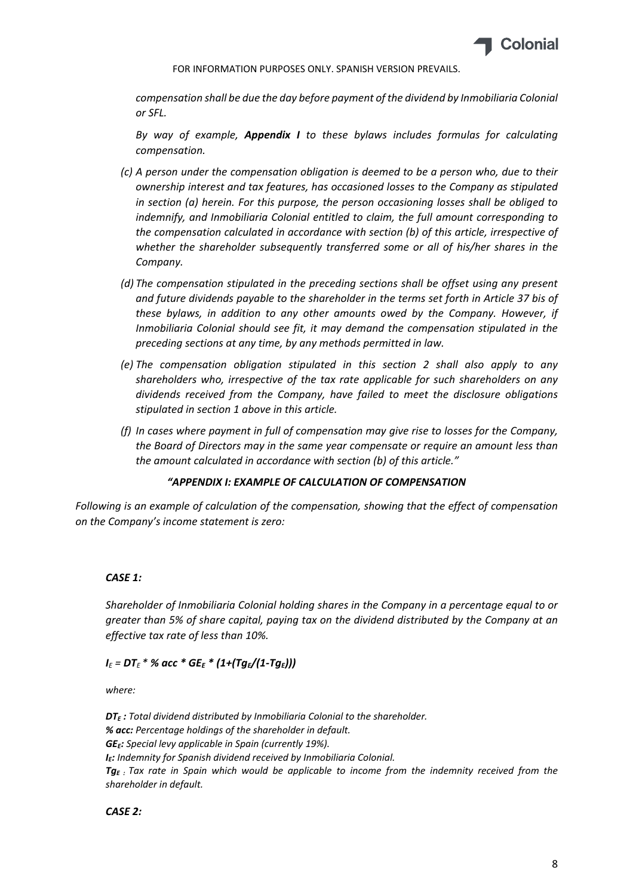

*compensation shall be due the day before payment of the dividend by Inmobiliaria Colonial or SFL.*

*By way of example, Appendix I to these bylaws includes formulas for calculating compensation.*

- *(c) A person under the compensation obligation is deemed to be a person who, due to their ownership interest and tax features, has occasioned losses to the Company as stipulated in section (a) herein. For this purpose, the person occasioning losses shall be obliged to indemnify, and Inmobiliaria Colonial entitled to claim, the full amount corresponding to the compensation calculated in accordance with section (b) of this article, irrespective of whether the shareholder subsequently transferred some or all of his/her shares in the Company.*
- *(d) The compensation stipulated in the preceding sections shall be offset using any present and future dividends payable to the shareholder in the terms set forth in Article 37 bis of these bylaws, in addition to any other amounts owed by the Company. However, if Inmobiliaria Colonial should see fit, it may demand the compensation stipulated in the preceding sections at any time, by any methods permitted in law.*
- *(e) The compensation obligation stipulated in this section 2 shall also apply to any shareholders who, irrespective of the tax rate applicable for such shareholders on any dividends received from the Company, have failed to meet the disclosure obligations stipulated in section 1 above in this article.*
- *(f) In cases where payment in full of compensation may give rise to losses for the Company, the Board of Directors may in the same year compensate or require an amount less than the amount calculated in accordance with section (b) of this article."*

### *"APPENDIX I: EXAMPLE OF CALCULATION OF COMPENSATION*

*Following is an example of calculation of the compensation, showing that the effect of compensation on the Company's income statement is zero:*

## *CASE 1:*

*Shareholder of Inmobiliaria Colonial holding shares in the Company in a percentage equal to or greater than 5% of share capital, paying tax on the dividend distributed by the Company at an effective tax rate of less than 10%.*

### *I<sup>E</sup> = DT<sup>E</sup> \* % acc \* GEE \* (1+(TgE/(1‐TgE)))*

*where:*

*DTE : Total dividend distributed by Inmobiliaria Colonial to the shareholder. % acc: Percentage holdings of the shareholder in default. GEE: Special levy applicable in Spain (currently 19%). IE: Indemnity for Spanish dividend received by Inmobiliaria Colonial. TgE : Tax rate in Spain which would be applicable to income from the indemnity received from the shareholder in default.*

### *CASE 2:*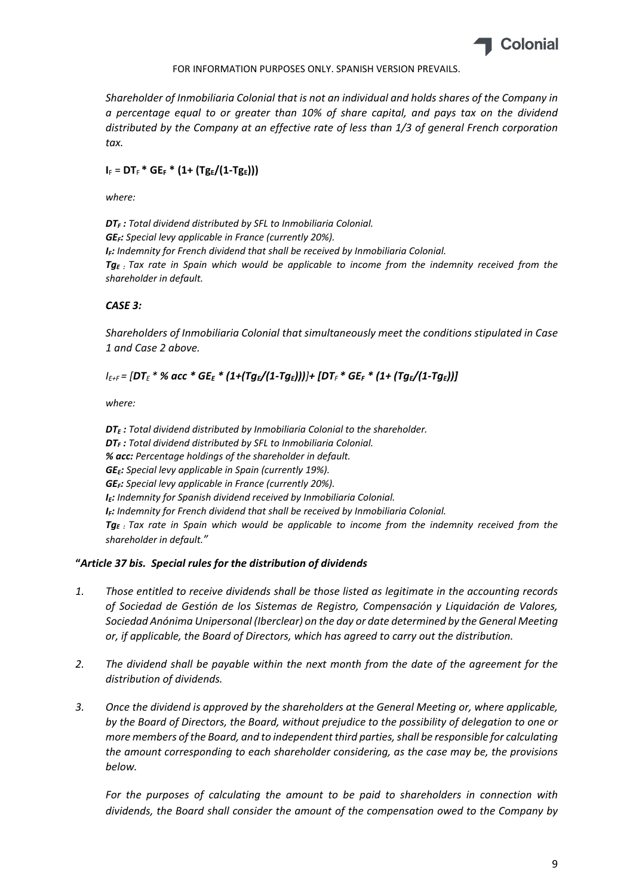

*Shareholder of Inmobiliaria Colonial that is not an individual and holds shares of the Company in a percentage equal to or greater than 10% of share capital, and pays tax on the dividend distributed by the Company at an effective rate of less than 1/3 of general French corporation tax.*

# $I_F = DT_F * GE_F * (1 + (Tg_E/(1 - Tg_E)))$

*where:* 

*DTF : Total dividend distributed by SFL to Inmobiliaria Colonial. GEF: Special levy applicable in France (currently 20%). IF: Indemnity for French dividend that shall be received by Inmobiliaria Colonial. TgE : Tax rate in Spain which would be applicable to income from the indemnity received from the shareholder in default.*

## *CASE 3:*

*Shareholders of Inmobiliaria Colonial that simultaneously meet the conditions stipulated in Case 1 and Case 2 above.*

# $I_{E+F}$  = [DT<sub>E</sub> \* % acc \* GE<sub>E</sub> \* (1+(Tg<sub>E</sub>/(1-Tg<sub>E</sub>)))]+ [DT<sub>F</sub> \* GE<sub>F</sub> \* (1+ (Tg<sub>E</sub>/(1-Tg<sub>E</sub>))]

*where:*

*DTE : Total dividend distributed by Inmobiliaria Colonial to the shareholder. DTF : Total dividend distributed by SFL to Inmobiliaria Colonial. % acc: Percentage holdings of the shareholder in default. GEE: Special levy applicable in Spain (currently 19%). GEF: Special levy applicable in France (currently 20%). IE: Indemnity for Spanish dividend received by Inmobiliaria Colonial. IF: Indemnity for French dividend that shall be received by Inmobiliaria Colonial. TgE : Tax rate in Spain which would be applicable to income from the indemnity received from the shareholder in default."*

## **"***Article 37 bis. Special rules for the distribution of dividends*

- *1. Those entitled to receive dividends shall be those listed as legitimate in the accounting records of Sociedad de Gestión de los Sistemas de Registro, Compensación y Liquidación de Valores, Sociedad Anónima Unipersonal (Iberclear) on the day or date determined by the General Meeting or, if applicable, the Board of Directors, which has agreed to carry out the distribution.*
- *2. The dividend shall be payable within the next month from the date of the agreement for the distribution of dividends.*
- *3. Once the dividend is approved by the shareholders at the General Meeting or, where applicable, by the Board of Directors, the Board, without prejudice to the possibility of delegation to one or more members of the Board, and to independent third parties,shall be responsible for calculating the amount corresponding to each shareholder considering, as the case may be, the provisions below.*

*For the purposes of calculating the amount to be paid to shareholders in connection with dividends, the Board shall consider the amount of the compensation owed to the Company by*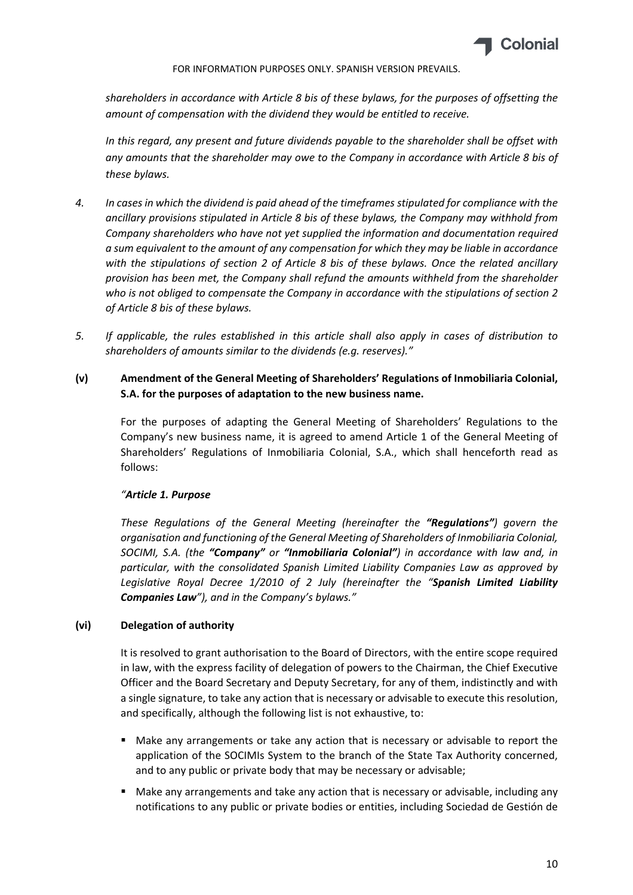

*shareholders in accordance with Article 8 bis of these bylaws, for the purposes of offsetting the amount of compensation with the dividend they would be entitled to receive.*

*In this regard, any present and future dividends payable to the shareholder shall be offset with any amounts that the shareholder may owe to the Company in accordance with Article 8 bis of these bylaws.*

- 4. In cases in which the dividend is paid ahead of the timeframes stipulated for compliance with the *ancillary provisions stipulated in Article 8 bis of these bylaws, the Company may withhold from Company shareholders who have not yet supplied the information and documentation required a sum equivalent to the amount of any compensation for which they may be liable in accordance with the stipulations of section 2 of Article 8 bis of these bylaws. Once the related ancillary provision has been met, the Company shall refund the amounts withheld from the shareholder who is not obliged to compensate the Company in accordance with the stipulations of section 2 of Article 8 bis of these bylaws.*
- *5. If applicable, the rules established in this article shall also apply in cases of distribution to shareholders of amounts similar to the dividends (e.g. reserves)."*

# **(v) Amendment of the General Meeting of Shareholders' Regulations of Inmobiliaria Colonial, S.A. for the purposes of adaptation to the new business name.**

For the purposes of adapting the General Meeting of Shareholders' Regulations to the Company's new business name, it is agreed to amend Article 1 of the General Meeting of Shareholders' Regulations of Inmobiliaria Colonial, S.A., which shall henceforth read as follows:

## *"Article 1. Purpose*

*These Regulations of the General Meeting (hereinafter the "Regulations") govern the organisation and functioning of the General Meeting of Shareholders of Inmobiliaria Colonial, SOCIMI, S.A. (the "Company" or "Inmobiliaria Colonial") in accordance with law and, in particular, with the consolidated Spanish Limited Liability Companies Law as approved by Legislative Royal Decree 1/2010 of 2 July (hereinafter the "Spanish Limited Liability Companies Law"), and in the Company's bylaws."*

## **(vi) Delegation of authority**

It is resolved to grant authorisation to the Board of Directors, with the entire scope required in law, with the express facility of delegation of powers to the Chairman, the Chief Executive Officer and the Board Secretary and Deputy Secretary, for any of them, indistinctly and with a single signature, to take any action that is necessary or advisable to execute this resolution, and specifically, although the following list is not exhaustive, to:

- Make any arrangements or take any action that is necessary or advisable to report the application of the SOCIMIs System to the branch of the State Tax Authority concerned, and to any public or private body that may be necessary or advisable;
- **Make any arrangements and take any action that is necessary or advisable, including any** notifications to any public or private bodies or entities, including Sociedad de Gestión de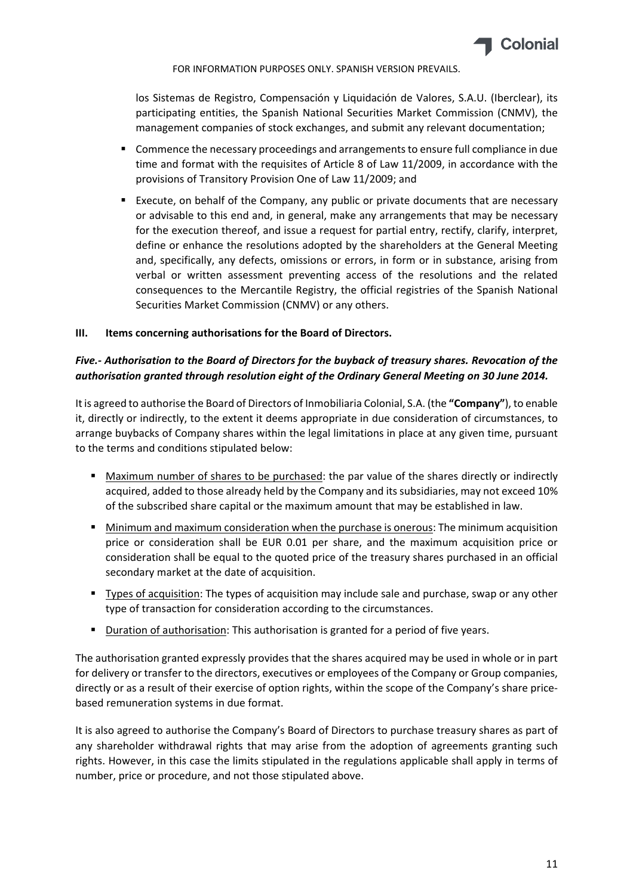

los Sistemas de Registro, Compensación y Liquidación de Valores, S.A.U. (Iberclear), its participating entities, the Spanish National Securities Market Commission (CNMV), the management companies of stock exchanges, and submit any relevant documentation;

- **E** Commence the necessary proceedings and arrangements to ensure full compliance in due time and format with the requisites of Article 8 of Law 11/2009, in accordance with the provisions of Transitory Provision One of Law 11/2009; and
- Execute, on behalf of the Company, any public or private documents that are necessary or advisable to this end and, in general, make any arrangements that may be necessary for the execution thereof, and issue a request for partial entry, rectify, clarify, interpret, define or enhance the resolutions adopted by the shareholders at the General Meeting and, specifically, any defects, omissions or errors, in form or in substance, arising from verbal or written assessment preventing access of the resolutions and the related consequences to the Mercantile Registry, the official registries of the Spanish National Securities Market Commission (CNMV) or any others.

### **III. Items concerning authorisations for the Board of Directors.**

## *Five.‐ Authorisation to the Board of Directors for the buyback of treasury shares. Revocation of the authorisation granted through resolution eight of the Ordinary General Meeting on 30 June 2014.*

It is agreed to authorise the Board of Directors of Inmobiliaria Colonial, S.A. (the **"Company"**), to enable it, directly or indirectly, to the extent it deems appropriate in due consideration of circumstances, to arrange buybacks of Company shares within the legal limitations in place at any given time, pursuant to the terms and conditions stipulated below:

- Maximum number of shares to be purchased: the par value of the shares directly or indirectly acquired, added to those already held by the Company and its subsidiaries, may not exceed 10% of the subscribed share capital or the maximum amount that may be established in law.
- Minimum and maximum consideration when the purchase is onerous: The minimum acquisition price or consideration shall be EUR 0.01 per share, and the maximum acquisition price or consideration shall be equal to the quoted price of the treasury shares purchased in an official secondary market at the date of acquisition.
- Types of acquisition: The types of acquisition may include sale and purchase, swap or any other type of transaction for consideration according to the circumstances.
- **Duration of authorisation:** This authorisation is granted for a period of five years.

The authorisation granted expressly provides that the shares acquired may be used in whole or in part for delivery or transfer to the directors, executives or employees of the Company or Group companies, directly or as a result of their exercise of option rights, within the scope of the Company's share price‐ based remuneration systems in due format.

It is also agreed to authorise the Company's Board of Directors to purchase treasury shares as part of any shareholder withdrawal rights that may arise from the adoption of agreements granting such rights. However, in this case the limits stipulated in the regulations applicable shall apply in terms of number, price or procedure, and not those stipulated above.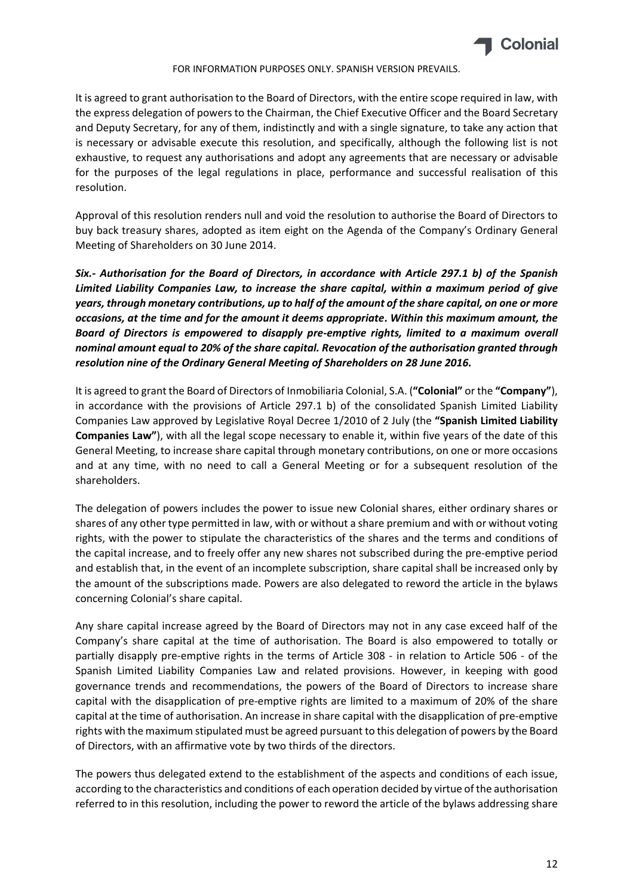

It is agreed to grant authorisation to the Board of Directors, with the entire scope required in law, with the express delegation of powers to the Chairman, the Chief Executive Officer and the Board Secretary and Deputy Secretary, for any of them, indistinctly and with a single signature, to take any action that is necessary or advisable execute this resolution, and specifically, although the following list is not exhaustive, to request any authorisations and adopt any agreements that are necessary or advisable for the purposes of the legal regulations in place, performance and successful realisation of this resolution.

Approval of this resolution renders null and void the resolution to authorise the Board of Directors to buy back treasury shares, adopted as item eight on the Agenda of the Company's Ordinary General Meeting of Shareholders on 30 June 2014.

*Six.‐ Authorisation for the Board of Directors, in accordance with Article 297.1 b) of the Spanish Limited Liability Companies Law, to increase the share capital, within a maximum period of give* years, through monetary contributions, up to half of the amount of the share capital, on one or more *occasions, at the time and for the amount it deems appropriate***.** *Within this maximum amount, the Board of Directors is empowered to disapply pre‐emptive rights, limited to a maximum overall nominal amount equal to 20% of the share capital. Revocation of the authorisation granted through resolution nine of the Ordinary General Meeting of Shareholders on 28 June 2016.*

It is agreed to grant the Board of Directors of Inmobiliaria Colonial, S.A. (**"Colonial"** or the **"Company"**), in accordance with the provisions of Article 297.1 b) of the consolidated Spanish Limited Liability Companies Law approved by Legislative Royal Decree 1/2010 of 2 July (the **"Spanish Limited Liability Companies Law"**), with all the legal scope necessary to enable it, within five years of the date of this General Meeting, to increase share capital through monetary contributions, on one or more occasions and at any time, with no need to call a General Meeting or for a subsequent resolution of the shareholders.

The delegation of powers includes the power to issue new Colonial shares, either ordinary shares or shares of any other type permitted in law, with or without a share premium and with or without voting rights, with the power to stipulate the characteristics of the shares and the terms and conditions of the capital increase, and to freely offer any new shares not subscribed during the pre‐emptive period and establish that, in the event of an incomplete subscription, share capital shall be increased only by the amount of the subscriptions made. Powers are also delegated to reword the article in the bylaws concerning Colonial's share capital.

Any share capital increase agreed by the Board of Directors may not in any case exceed half of the Company's share capital at the time of authorisation. The Board is also empowered to totally or partially disapply pre-emptive rights in the terms of Article 308 - in relation to Article 506 - of the Spanish Limited Liability Companies Law and related provisions. However, in keeping with good governance trends and recommendations, the powers of the Board of Directors to increase share capital with the disapplication of pre‐emptive rights are limited to a maximum of 20% of the share capital at the time of authorisation. An increase in share capital with the disapplication of pre‐emptive rights with the maximum stipulated must be agreed pursuant to this delegation of powers by the Board of Directors, with an affirmative vote by two thirds of the directors.

The powers thus delegated extend to the establishment of the aspects and conditions of each issue, according to the characteristics and conditions of each operation decided by virtue of the authorisation referred to in this resolution, including the power to reword the article of the bylaws addressing share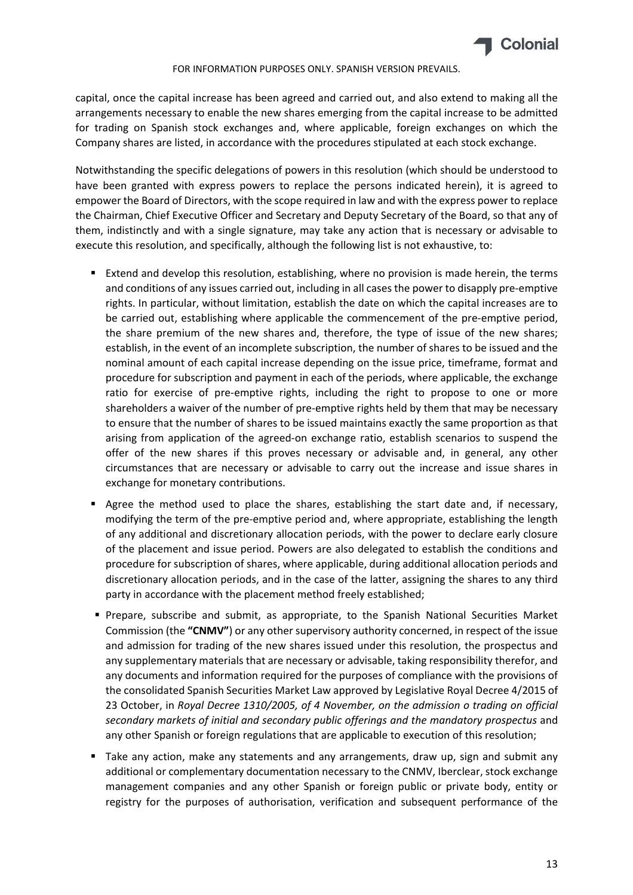

capital, once the capital increase has been agreed and carried out, and also extend to making all the arrangements necessary to enable the new shares emerging from the capital increase to be admitted for trading on Spanish stock exchanges and, where applicable, foreign exchanges on which the Company shares are listed, in accordance with the procedures stipulated at each stock exchange.

Notwithstanding the specific delegations of powers in this resolution (which should be understood to have been granted with express powers to replace the persons indicated herein), it is agreed to empower the Board of Directors, with the scope required in law and with the express power to replace the Chairman, Chief Executive Officer and Secretary and Deputy Secretary of the Board, so that any of them, indistinctly and with a single signature, may take any action that is necessary or advisable to execute this resolution, and specifically, although the following list is not exhaustive, to:

- Extend and develop this resolution, establishing, where no provision is made herein, the terms and conditions of any issues carried out, including in all cases the power to disapply pre-emptive rights. In particular, without limitation, establish the date on which the capital increases are to be carried out, establishing where applicable the commencement of the pre-emptive period, the share premium of the new shares and, therefore, the type of issue of the new shares; establish, in the event of an incomplete subscription, the number of shares to be issued and the nominal amount of each capital increase depending on the issue price, timeframe, format and procedure for subscription and payment in each of the periods, where applicable, the exchange ratio for exercise of pre-emptive rights, including the right to propose to one or more shareholders a waiver of the number of pre‐emptive rights held by them that may be necessary to ensure that the number of shares to be issued maintains exactly the same proportion as that arising from application of the agreed‐on exchange ratio, establish scenarios to suspend the offer of the new shares if this proves necessary or advisable and, in general, any other circumstances that are necessary or advisable to carry out the increase and issue shares in exchange for monetary contributions.
- Agree the method used to place the shares, establishing the start date and, if necessary, modifying the term of the pre‐emptive period and, where appropriate, establishing the length of any additional and discretionary allocation periods, with the power to declare early closure of the placement and issue period. Powers are also delegated to establish the conditions and procedure for subscription of shares, where applicable, during additional allocation periods and discretionary allocation periods, and in the case of the latter, assigning the shares to any third party in accordance with the placement method freely established;
- Prepare, subscribe and submit, as appropriate, to the Spanish National Securities Market Commission (the **"CNMV"**) or any other supervisory authority concerned, in respect of the issue and admission for trading of the new shares issued under this resolution, the prospectus and any supplementary materials that are necessary or advisable, taking responsibility therefor, and any documents and information required for the purposes of compliance with the provisions of the consolidated Spanish Securities Market Law approved by Legislative Royal Decree 4/2015 of 23 October, in *Royal Decree 1310/2005, of 4 November, on the admission o trading on official secondary markets of initial and secondary public offerings and the mandatory prospectus* and any other Spanish or foreign regulations that are applicable to execution of this resolution;
- Take any action, make any statements and any arrangements, draw up, sign and submit any additional or complementary documentation necessary to the CNMV, Iberclear, stock exchange management companies and any other Spanish or foreign public or private body, entity or registry for the purposes of authorisation, verification and subsequent performance of the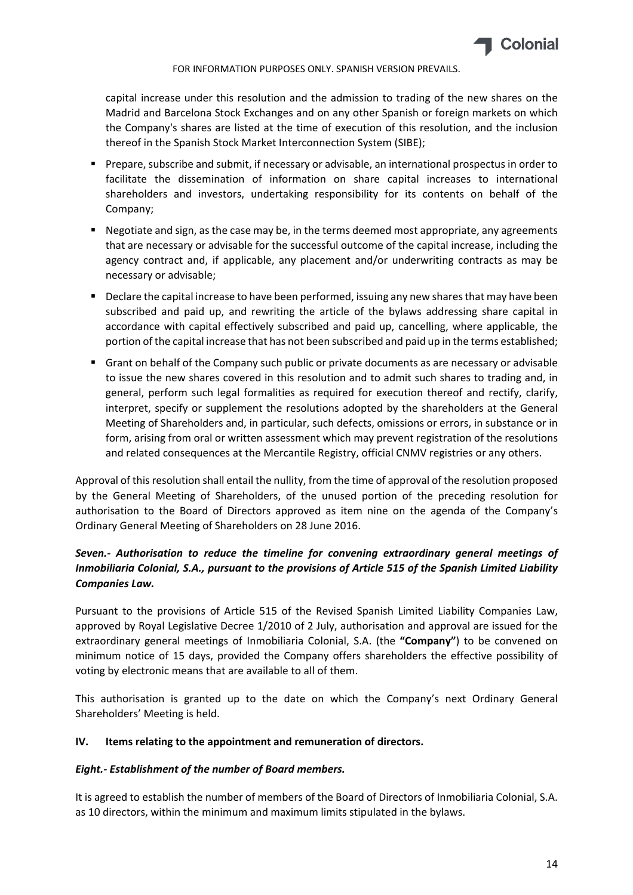

capital increase under this resolution and the admission to trading of the new shares on the Madrid and Barcelona Stock Exchanges and on any other Spanish or foreign markets on which the Company's shares are listed at the time of execution of this resolution, and the inclusion thereof in the Spanish Stock Market Interconnection System (SIBE);

- Prepare, subscribe and submit, if necessary or advisable, an international prospectus in order to facilitate the dissemination of information on share capital increases to international shareholders and investors, undertaking responsibility for its contents on behalf of the Company;
- **Negotiate and sign, as the case may be, in the terms deemed most appropriate, any agreements** that are necessary or advisable for the successful outcome of the capital increase, including the agency contract and, if applicable, any placement and/or underwriting contracts as may be necessary or advisable;
- **Declare the capital increase to have been performed, issuing any new shares that may have been** subscribed and paid up, and rewriting the article of the bylaws addressing share capital in accordance with capital effectively subscribed and paid up, cancelling, where applicable, the portion of the capital increase that has not been subscribed and paid up in the terms established;
- Grant on behalf of the Company such public or private documents as are necessary or advisable to issue the new shares covered in this resolution and to admit such shares to trading and, in general, perform such legal formalities as required for execution thereof and rectify, clarify, interpret, specify or supplement the resolutions adopted by the shareholders at the General Meeting of Shareholders and, in particular, such defects, omissions or errors, in substance or in form, arising from oral or written assessment which may prevent registration of the resolutions and related consequences at the Mercantile Registry, official CNMV registries or any others.

Approval of thisresolution shall entail the nullity, from the time of approval of the resolution proposed by the General Meeting of Shareholders, of the unused portion of the preceding resolution for authorisation to the Board of Directors approved as item nine on the agenda of the Company's Ordinary General Meeting of Shareholders on 28 June 2016.

# *Seven.‐ Authorisation to reduce the timeline for convening extraordinary general meetings of Inmobiliaria Colonial, S.A., pursuant to the provisions of Article 515 of the Spanish Limited Liability Companies Law.*

Pursuant to the provisions of Article 515 of the Revised Spanish Limited Liability Companies Law, approved by Royal Legislative Decree 1/2010 of 2 July, authorisation and approval are issued for the extraordinary general meetings of Inmobiliaria Colonial, S.A. (the **"Company"**) to be convened on minimum notice of 15 days, provided the Company offers shareholders the effective possibility of voting by electronic means that are available to all of them.

This authorisation is granted up to the date on which the Company's next Ordinary General Shareholders' Meeting is held.

## **IV. Items relating to the appointment and remuneration of directors.**

## *Eight.‐ Establishment of the number of Board members.*

It is agreed to establish the number of members of the Board of Directors of Inmobiliaria Colonial, S.A. as 10 directors, within the minimum and maximum limits stipulated in the bylaws.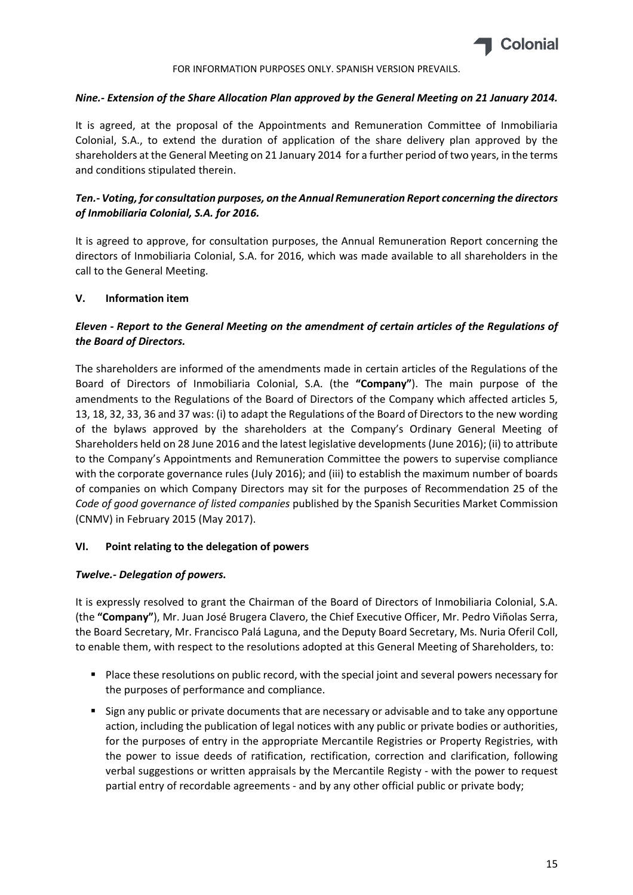

### *Nine.‐ Extension of the Share Allocation Plan approved by the General Meeting on 21 January 2014.*

It is agreed, at the proposal of the Appointments and Remuneration Committee of Inmobiliaria Colonial, S.A., to extend the duration of application of the share delivery plan approved by the shareholders at the General Meeting on 21 January 2014 for a further period of two years, in the terms and conditions stipulated therein.

# *Ten.‐ Voting, for consultation purposes, on the Annual Remuneration Report concerning the directors of Inmobiliaria Colonial, S.A. for 2016.*

It is agreed to approve, for consultation purposes, the Annual Remuneration Report concerning the directors of Inmobiliaria Colonial, S.A. for 2016, which was made available to all shareholders in the call to the General Meeting.

## **V. Information item**

# *Eleven ‐ Report to the General Meeting on the amendment of certain articles of the Regulations of the Board of Directors.*

The shareholders are informed of the amendments made in certain articles of the Regulations of the Board of Directors of Inmobiliaria Colonial, S.A. (the **"Company"**). The main purpose of the amendments to the Regulations of the Board of Directors of the Company which affected articles 5, 13, 18, 32, 33, 36 and 37 was: (i) to adapt the Regulations of the Board of Directors to the new wording of the bylaws approved by the shareholders at the Company's Ordinary General Meeting of Shareholders held on 28 June 2016 and the latest legislative developments(June 2016); (ii) to attribute to the Company's Appointments and Remuneration Committee the powers to supervise compliance with the corporate governance rules (July 2016); and (iii) to establish the maximum number of boards of companies on which Company Directors may sit for the purposes of Recommendation 25 of the *Code of good governance of listed companies* published by the Spanish Securities Market Commission (CNMV) in February 2015 (May 2017).

## **VI. Point relating to the delegation of powers**

## *Twelve.‐ Delegation of powers.*

It is expressly resolved to grant the Chairman of the Board of Directors of Inmobiliaria Colonial, S.A. (the **"Company"**), Mr. Juan José Brugera Clavero, the Chief Executive Officer, Mr. Pedro Viñolas Serra, the Board Secretary, Mr. Francisco Palá Laguna, and the Deputy Board Secretary, Ms. Nuria Oferil Coll, to enable them, with respect to the resolutions adopted at this General Meeting of Shareholders, to:

- **Place these resolutions on public record, with the special joint and several powers necessary for** the purposes of performance and compliance.
- **Sign any public or private documents that are necessary or advisable and to take any opportune** action, including the publication of legal notices with any public or private bodies or authorities, for the purposes of entry in the appropriate Mercantile Registries or Property Registries, with the power to issue deeds of ratification, rectification, correction and clarification, following verbal suggestions or written appraisals by the Mercantile Registy ‐ with the power to request partial entry of recordable agreements - and by any other official public or private body;